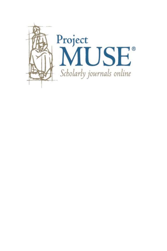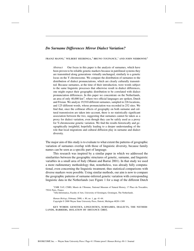## *Do Surname Differences Mirror Dialect Variation?*

 $FRANZ$  MANNI,<sup>1</sup> WILBERT HEERINGA,<sup>2</sup> BRUNO TOUPANCE,<sup>1</sup> AND JOHN NERBONNE<sup>2</sup>

*Abstract* Our focus in this paper is the analysis of surnames, which have been proven to be reliable genetic markers because in patrilineal systems they are transmitted along generations virtually unchanged, similarly to a genetic locus on the Y chromosome. We compare the distribution of surnames to the distribution of dialect pronunciations, which are clearly culturally transmitted. Because surnames, at the time of their introduction, were words subject to the same linguistic processes that otherwise result in dialect differences, one might expect their geographic distribution to be correlated with dialect pronunciation differences. In this paper we concentrate on the Netherlands, an area of only  $40,000 \text{ km}^2$ , where two official languages are spoken, Dutch and Frisian. We analyze 19,910 different surnames, sampled in 226 locations, and 125 different words, whose pronunciation was recorded in 252 sites. We find that, once the collinear effects of geography on both surname and cultural transmission are taken into account, there is no statistically significant association between the two, suggesting that surnames cannot be taken as a proxy for dialect variation, even though they can be safely used as a proxy for Y-chromosome genetic variation. We find the results historically and geographically insightful, hopefully leading to a deeper understanding of the role that local migrations and cultural diffusion play in surname and dialect diversity.

The major aim of this study is to evaluate to what extent the patterns of geographic variation of surnames overlap with those of linguistic diversity, because family names can be seen as a specific part of language.

This research was inspired by a similar paper in which we addressed the similarities between the geographic structures of genetic, surname, and linguistic variables in a small area of Italy (Manni and Barrai 2001). In that study we used a more rudimentary methodology that, nonetheless, was already fully computational, even concerning the linguistic treatment; thus statistical comparisons with diverse markers were possible. Using similar methods, our aim is now to compare the geographic patterns of surname-inferred genetic variation with corresponding linguistic data in the Netherlands (see Figure 1 for a map of the different Dutch

key words: genetics, linguistics, surnames, dialects, the netherlands, barriers, isolation by distance (ibd).

<sup>&</sup>lt;sup>1</sup>UMR 5145, CNRS, Musée de l'Homme, National Museum of Natural History, 17 Place du Trocadéro, 75016 Paris, France.

<sup>&</sup>lt;sup>2</sup>Alfa-Informatica, Faculty of Arts, University of Groningen, Groningen, The Netherlands.

*Human Biology*, February 2008, v. 80, no. 1, pp. 41–64.

Copyright © 2008 Wayne State University Press, Detroit, Michigan 48201-1309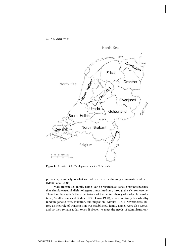

**Figure 1.** Location of the Dutch provinces in the Netherlands.

provinces), similarly to what we did in a paper addressing a linguistic audience (Manni et al. 2006).

Male-transmitted family names can be regarded as genetic markers because they simulate neutral alleles of a gene transmitted only through the Y chromosome. Therefore they satisfy the expectations of the neutral theory of molecular evolution (Cavalli-Sforza and Bodmer 1971; Crow 1980), which is entirely described by random genetic drift, mutation, and migration (Kimura 1983). Nevertheless, before a strict rule of transmission was established, family names were also words, and so they remain today (even if frozen to meet the needs of administration).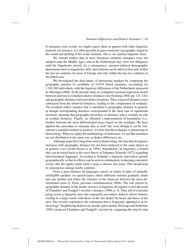If surnames were words, we might expect them to pattern with other linguistic material; for instance, it is often possible to guess someone's geographic origin by the sound and spelling of his or her surname, that is, on a purely linguistic basis.

We remind readers that in most European countries surnames were not adopted until the Middle Ages, and in the Netherlands they were not obligatory until the Napoleonic period. As a consequence, surname-inferred demographic phenomena such as migrations, drift, and isolation can be dated at best only within the last six centuries for most of Europe and only within the last two centuries in the Dutch case.

We investigated the dual nature of patronymic markers by comparing the geographic patterns of variability of 19,910 Dutch surnames, accounting for 1,303,369 individuals, with the linguistic differences of the Netherlands measured by Heeringa (2004). In the present study we computed a general regression model between pairwise Levenshtein dialect distances (see Heeringa 2004, pp. 121–144) and geographic distances between dialect locations. Then, expected distances were subtracted from the observed distances, leading to the computation of residuals. The residuals reflect variance that is unrelated to geographic distance in general, as though corresponding distances corresponded to the ideal case of equidistant locations, meaning that geographic proximity (or distance) plays virtually no role in residual distances. Finally, we obtained a representation of boundaries (i.e., borders between the most differentiated areas) based on the residuals. We have applied this procedure to surname data as well, but, even though it can be considered a standard method in genetics, we note that the technique is pioneering in dialectology. When we apply the methodology in both areas, we see that surnames are not distributed in the same way as dialect differences are.

Although maps have long been used in dialectology, the idea that divergence increases with geographic distance has not been analyzed to the same degree as in genetics (see Cavalli-Sforza et al. 1994). Nonetheless, in linguistics a related idea can be traced back to the wave theory of Johannes Schmidt (1872) regarding Indo-European languages. According to Schmidt, a linguistic innovation spreads geographically so that its effects can be seen in continuously weakening concentric circles, like the ripples made when a stone is thrown into water. This should lead to convergence among nearby varieties.

From a great distance all languages consist of chains of pairs of mutually intelligible speakers (or speech-types) where different varieties gradually shade into one another and where the extremes of the chain are between the most differentiated areas (I. Dyen, personal communication, 2004). The role played by geographic distance in the steady increase of linguistic divergence is also the point of Chambers and Trudgill's traveler's distance (1998, p. 5). They tell of a traveler going across a linguistic area who repeatedly encounters dialects whose features overlap to a large extent with those of the last dialect he heard and those of the next. The traveler experiences the continuum that is frequently appealed to in dialectology: Neighboring dialects are usually quite similar. Heeringa and Nerbonne (2001) analyzed Chambers and Trudgill's traveler by comparing the step-by-step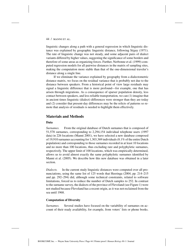linguistic changes along a path with a general regression in which linguistic distance was explained by geographic linguistic distance, following Séguy (1971). The rate of linguistic change was not steady, and some adjacent pairs of dialect variants differed by higher values, suggesting the significance of some borders and therefore of some areas as organizing forces. Further, Nerbonne et al. (1999) computed regression models for all pairwise distances in the matrix of sampling sites, making the computation more stable than that of the one-dimensional traveler's distance along a single line.

If we eliminate the variance explained by geography from a dialectometric distance matrix, we focus on the residual variance that is probably not due to the distance between speakers. From a historical point of view large residuals may signal a linguistic difference that is more profound—for example, one that has arisen through migrations. As a consequence of sparser population density, less contact between speakers, and less reliable transportation, we can (1) imagine that in ancient times linguistic (dialect) differences were stronger than they are today and (2) consider that present-day differences may be the relicts of patterns so remote that analysis of residuals is needed to highlight them effectively.

# **Materials and Methods**

## **Data**

*Surnames.* From the original database of Dutch surnames that is composed of 51,578 surnames, corresponding to 2,294,154 individual telephone users (1997 data) in 226 locations (Manni 2001), we have selected a new database composed of 19,910 surnames accounting for 1,303,369 individuals (8.1% of the entire Dutch population) and corresponding to those surnames recorded in at least 10 locations and no more than 100 locations, thus excluding rare and polyphyletic surnames, respectively. The upper limit of 100 locations, which was empirically determined, allows us to avoid almost exactly the same polyphyletic surnames identified by Manni et al. (2005). We describe how this new database was obtained in a later section.

*Dialects.* In the current study linguistic distances were computed over all pronunciations, using the same list of 125 words that Heeringa (2004, pp. 214–215 and pp. 292–294) did, although some technical constraints, related to software limitations, forced us to reduce the number of Dutch samples to 252. In contrast to the surname survey, the dialects of the province of Flevoland (see Figure 1) were not studied because Flevoland has a recent origin, as it was not reclaimed from the sea until 1968.

## **Computation of Diversity**

*Surnames.* Several studies have focused on the variability of surnames on account of their ready availability, for example, from voters' lists or phone books.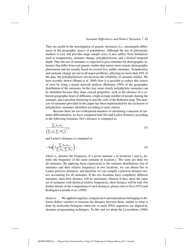They are useful in the investigation of genetic structures (i.e., meaningful differences in the geographic space) of populations. Although the use of patronymic markers is easy and provides large sample sizes, it also suffers from limitations such as nonpaternity, surname change, polyphyleticism, and a limited temporal depth. Thus the use of surnames is expected to give estimates for demographic inference that differ from real genetic studies that mirror more remote demographic phenomena and are usually based on several loci, unlike surnames. Nonpaternity and surname change are not at all major problems, affecting no more than 10% of the data, but polyphyleticism can decrease the reliability of surname studies. We have recently shown (Manni et al. 2005) how it is possible to reduce this source of error by using a neural network analysis (Kohonen 1995) of the geographic distribution of the surnames. In this way some clearly polyphyletic surnames can be identified because they share crucial properties, such as the absence of a coherent geographic heart of diffusion, a high average number of people sharing the surname, and a peculiar clustering in specific cells of the Kohonen map. The analysis of surnames provided in this paper has been implemented by the exclusion of polyphyletic surnames identified according to such criteria.

Because there are two widespread manners of calculating a measure of surname differentiation, we have computed both Nei and Lasker distances according to the following formulas. Nei's distance is computed as

$$
\frac{\sum n_{si}n_{sj}}{\left(\sum n_{si}^2 \sum N_{sj}^2\right)^{1/2}},\tag{1}
$$

and Lasker's distance is computed as

$$
-\log\left(2\frac{\sum n_{si}n_{sj}}{\sum n_{si}\sum N_{sj}}\right),\tag{2}
$$

where  $n_{si}$  denotes the frequency of a given surname *s* in locations *i* and  $n_{si}$  denotes the frequency of the same surname in location *j*. The sums are done for all surnames. By applying these expressions to the surname distributions (list of surnames and their relative frequency) in two locations, we can obtain Nei or Lasker pairwise distances, and therefore we can compile a pairwise distance matrix accounting for all surnames. If the two locations have completely different surnames, then their distance will be maximum, whereas if they share the same set of surnames with identical relative frequencies, their distance will be null. For further details on the computation of such distances, please refer to Nei (1973) and Rodriguez-Larralde et al. (1998).

*Dialects.* We applied sequence comparison to pronunciations belonging to different dialect varieties to measure the distance between them, similar to what is done by molecular biologists when two or more DNA sequences are aligned by dynamic programming techniques. To this end we adopt the Levenshtein (1966)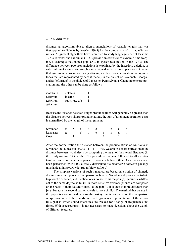distance, an algorithm able to align pronunciations of variable lengths that was first applied to dialects by Kessler (1995) for the comparison of Irish Gaelic varieties. Alignment algorithms have been used to study language since at least the 1970s. Kruskal and Liberman (1983) provide an overview of dynamic time warping, a technique that gained popularity in speech recognition in the 1970s. The difference between two pronunciations is explained by the insertion, deletion, or substitution of sounds, and weights are assigned to these three operations. Assume that *afternoon* is pronounced as [æəftənun] (with a phonetic notation that ignores tones that are represented by accent marks) in the dialect of Savannah, Georgia, and as [æftərnun] in the dialect of Lancaster, Pennsylvania. Changing one pronunciation into the other can be done as follows:

| æəftən <del>u</del> n | delete ə           |  |
|-----------------------|--------------------|--|
| æftərnun              | insert r           |  |
| æftərnun              | substitute $\mu/u$ |  |
| æftərnun              |                    |  |

Because the distance between longer pronunciations will generally be greater than the distance between shorter pronunciations, the sum of alignment operation costs is normalized by the length of the alignment:

| Savannah æ ə f        |  | t | $\theta$ |  | ₩            | n |
|-----------------------|--|---|----------|--|--------------|---|
| Lancaster a f t a r n |  |   |          |  | $\mathbf{H}$ |   |
| Cost                  |  |   |          |  |              |   |

After the normalization the distance between the pronunciations of *afternoon* in Savannah and Lancaster is  $0.33$  [ $(1 + 1 + 1)/9$ ]. We obtain a characterization of the distance between two dialects by computing the mean of their word distances (in this study we used 125 words). This procedure has been followed for all varieties to obtain an overall matrix of pairwise distances between them. Calculations have been performed with L04, a freely distributed dialectometric software package (available at http://www.let.rug.nl/kleiweg/L04/)

The simplest versions of such a method are based on a notion of phonetic distance in which phonetic comparison is binary: Nonidentical phones contribute to phonetic distance, and identical ones do not. Thus the pair [a, i] counts as different to the same degree as  $[e, \varepsilon]$ . In more sensitive versions phones are compared on the basis of their feature values, so the pair [a, i] counts as more different than  $[e, \varepsilon]$  because the second pair of vowels is more similar. The method that we use in this paper is more refined because the cost system is computed on the comparison of spectrograms of the sounds. A spectrogram is a representation of the acoustic signal in which sound intensities are tracked for a range of frequencies and times. With spectrograms it is not necessary to make decisions about the weight of different features.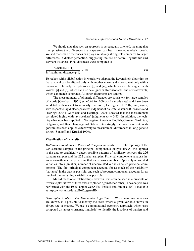We should note that such an approach is perceptually oriented, meaning that it emphasizes the differences that a speaker can hear in someone else's speech. We add that small differences can play a relatively strong role compared to larger differences in dialect perception, suggesting the use of natural logarithmic (ln) segment distances. Final distances were computed as

 $\frac{\ln(\text{distance} + 1)}{\ln(\text{maximum distance} + 1)} \times 100.$  (3)

To reckon with syllabification in words, we adapted the Levenshtein algorithm so that a vowel can be aligned only with another vowel and a consonant only with a consonant. The only exceptions are  $\begin{bmatrix} i \end{bmatrix}$  and  $\begin{bmatrix} w \end{bmatrix}$ , which can also be aligned with vowels; [i] and [u], which can also be aligned with consonants; and central vowels, which can match sonorants. All other alignments are ignored.

The measurements of phonetic differences are consistent for large samples of words [Cronbach (1951)  $\alpha > 0.96$  for 100-word sample sets] and have been validated with respect to scholarly tradition (Heeringa et al. 2002) and, again, with respect to lay dialect speakers' judgment of dialectal distance (Gooskens and Heeringa 2004). Gooskens and Heeringa (2004) showed that the measurement correlated highly with lay speakers' judgments ( $r = 0.80$ ). In addition, the technique has now been applied to Norwegian, American English, German, Sardinian, Bulgarian, and Bantu languages of Gabon. Interestingly, the same Levenshtein algorithm has been applied extensively to measurement differences in long genetic strings (Sankoff and Kruskal 1999).

## **Visualization of Diversity**

*Multidimensional Space: Principal Components Analysis.* The topology of the 226 surname samples in the principal components analysis (PCA) was applied to the data to graphically detect possible patterns of similarity between the 226 surname samples and the 252 dialect samples. Principal components analysis involves a mathematical procedure that transforms a number of (possibly) correlated variables into a (smaller) number of uncorrelated variables called principal components. The first principal component accounts for as much of the variability (variance) in the data as possible, and each subsequent component accounts for as much of the remaining variability as possible.

Multidimensional relationships between items can be seen in a bivariate or trivariate plot (if two or three axes are plotted against each other). The analysis was performed with the Excel applet GenAlEx (Peakall and Smouse 2001; available at http://www.anu.edu.au/BoZo/genAlEx).

*Geographic Analysis: The Monmonier Algorithm.* When sampling locations are known, it is possible to identify the areas where a given variable shows an abrupt rate of change. We use a computational geometry approach, which uses computed distances (surname, linguistic) to identify the locations of barriers and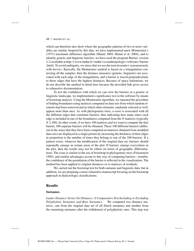which can therefore also show where the geographic patterns of two or more variables are similar. Inspired by this idea, we have implemented anew Monmonier's (1973) maximum difference algorithm (Manni 2004; Manni et al. 2004), and to identify genetic and linguistic barriers, we have used the program Barrier, version 2.2 (available at http: // www.mnhn.fr / mnhn / ecoanthropologie / software / barrier .html). To avoid ambiguity, we stress that we use the term *boundary* synonymously with *barrier*. Basically, the Monmonier method is based on a triangulation connecting all the samples; then the distance measures (genetic, linguistic) are associated with each edge of the triangulation, and a barrier is traced perpendicularly to those edges that have the highest distances. Because of space limitations, we do not describe the method in detail here because the provided link gives access to exhaustive documentation.

To test the confidence with which we can view the barriers in a genetic or linguistic landscape, we implemented a significance test in the software by means of bootstrap analysis. Using the Monmonier algorithm, we repeated the procedure of finding boundaries using matrices computed on data sets from which random elements had been removed and in which other elements, randomly selected as well, appear more than once. As with phylogenetic trees, a score is associated with all the different edges that constitute barriers, thus indicating how many times each edge is included in one of the boundaries computed from the *N* matrices (typically  $N \ge 100$ ). In other words, if we have 100 matrices and we want to compute the first barrier, 100 separate barriers will be obtained. These 100 different barriers (different in the sense that they have been computed on matrices obtained from modified data sets) are displayed in a single picture by increasing the thickness of their edges in proportion to the number of times they belong to one of the 100 barriers. If a pattern exists, whatever the modification of the original data set, barriers should repeatedly emerge in certain areas of the plot. If barriers emerge everywhere in the plot, then the results may not be robust (in terms of geographic differentiation). The issue is similar to the use of bootstrap in phylogenetic trees (Felsenstein 1985), and similar advantages accrue to this way of computing barriers—notably, the confidence of the postulation of the barrier is reflected in the visualization. The method has been applied to original distances or to matrices of residuals.

We carried out the bootstrap test for both surname and linguistic data, but in addition, we are preparing a more exhaustive manuscript focusing on the bootstrap approach in dialectologic classifications.

## **Results**

#### **Surnames**

*Lasker Distance Versus Nei Distance: A Comparative Test Including or Excluding Polyphyletic Surnames and Rare Surnames.* We computed two distance matrices, one from the original data set of all Dutch surnames and another from the remaining surnames after the withdrawal of polyphyletic ones. This step was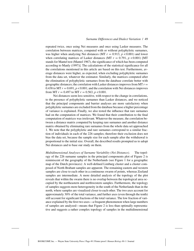repeated twice, once using Nei measures and once using Lasker measures. The correlation between matrices, computed with or without polyphyletic surnames, was higher when analyzing Nei distances (MT  $r = 0.913$ ,  $p < 0.001$ ) and lower when correlating matrices of Lasker distances (MT  $r = 0.791$ ,  $p < 0.001$ ) [MT stands for Mantel test (Mantel 1967), the significance of which has been computed according to Manly (1997)]. The calculations of the statistical significance for all the correlations mentioned in this article are based on this test. Furthermore, average distances were higher, as expected, when excluding polyphyletic surnames from the data set, whatever the estimator. Similarly, the matrices computed after the elimination of polyphyletic surnames from the database correlate better with geographic distances; the correlation with Lasker distances improves from MT *r* = 0.438 to MT  $r = 0.691$ ,  $p < 0.001$ ; and the correlation with Nei distances improves from MT  $r = 0.497$  to MT  $r = 0.563$ ,  $p < 0.001$ .

Nei distances seem less sensitive, with respect to the change in correlations, to the presence of polyphyletic surnames than Lasker distances, and we noticed that the principal components and barrier analyses are more satisfactory when polyphyletic surnames are excluded from the database because a higher percentage of variance is explained. Finally, we also tested the influence that rare surnames had on the computation of matrices. We found that their contribution to the final computation of matrices was irrelevant. Whatever the measure, the correlation between a distance matrix computed by keeping rare surnames and another distance matrix obtained by eliminating rare surnames from the whole data set approached 1. We note that the polyphyletic and rare surnames correspond to a similar fraction of individuals in each of the 226 samples; therefore their exclusion does not bias the data set, because the sample size for each sample after the withdrawal is proportional to the initial size. Overall, the described results prompted us to adopt Nei distances and to base our study on them.

*Multidimensional Analyses of Surname Variability (Nei Distance).* The topology of the 226 surname samples in the principal components plot of Figure 2 is reminiscent of the geography of the Netherlands (see Figure 1 for a geographic map of the Dutch provinces): A well-defined Limburg cluster and a cluster composed of North Brabant samples are apparent. The remaining eastern and western samples are close to each other in a continuous swarm of points, whereas Zeeland samples are intermediate. A more detailed analysis of the topology of the plot reveals that within the swarm there is no overlap between the topological area occupied by the northeastern and northwestern samples. Furthermore, the topology of samples suggests more heterogeneity in the south of the Netherlands than in the north, where samples are visualized closer to each other. The two axes account for approximately 30% of the total variance, and further axes (even through the tenth) still account for significant fractions of the total variance. The low fraction of variance explained by the first two axes—a frequent phenomenon when large numbers of samples are analyzed—means that Figure 2 is less than optimally representative and suggests a rather complex topology of samples in the multidimensional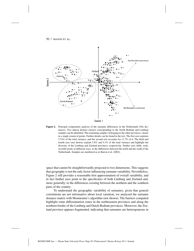

**Figure 2.** Principal components analysis of the surname differences in the Netherlands (Nei distances). Two almost distinct clusters corresponding to the North Brabant and Limburg samples can be identified. The remaining samples, belonging to the other provinces, cluster in a single swarm of points. Further details can be found in the text. The first axis explains 17.6% of the total variance, and the second axis accounts for 11.7% of it. The third and fourth axes (not shown) explain 5.8% and 4.3% of the total variance and highlight the diversity of the Limburg and Zeeland provinces, respectively. Further axes (fifth, sixth, seventh) point, in different ways, to the differences between the north and the south of the Netherlands. Samples are numbered as in Barrai et al. (2002).

space that cannot be straightforwardly projected to two dimensions. This suggests that geography is not the only factor influencing surname variability. Nevertheless, Figure 2 still provides a reasonable first approximation of overall variability, and in fact further axes point to the specificities of both Limburg and Zeeland and, more generally, to the differences existing between the northern and the southern parts of the country.

To understand the geographic variability of surnames, given that general correlations are not informative about local variation, we analyzed the surname distance matrix with Monmonier's algorithm (not shown). The barriers computed highlight some differentiation zones in the northeastern provinces and along the northern border of the Limburg and Dutch Brabant provinces. Moreover, the Zeeland province appears fragmented, indicating that surnames are heterogeneous in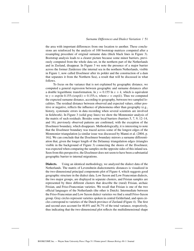the area with important differences from one location to another. These conclusions are reinforced by the analysis of 100 bootstrap matrices computed after a resampling procedure of original surname data (thick black lines in Figure 3). Bootstrap analysis leads to a clearer picture because some minor barriers, previously computed from the whole data set, in the northern part of the Netherlands and in Zeeland, disappear. In Figure 3 we note the presence of a major barrier across the former Zuiderzee (the internal sea in the northern Netherlands, visible in Figure 1, now called IJsselmeer after its polder and the construction of a dam that separates it from the Northern Sea), a result that will be discussed in what follows.

To focus on the variance that is not explained by geographic distance, we computed a general regression between geographic and surname distances after a double logarithmic transformation, ln  $y = 0.155$  ln  $x + k$ , which is equivalent to  $y = \exp(\ln 0.155x) \exp(k) = 0.155cx$ , where  $c = \exp(k)$ . Thus we computed the expected surname distance, according to geography, between two sampled localities. The residual distance between observed and expected values, either positive or negative, reflects the influence of phenomena other than geography (e.g., history, systematic errors in data recording when several scientists are involved in fieldwork). In Figure 3 (solid gray lines) we show the Monmonier analysis of the matrix of such residuals. Besides some local barriers (barriers 5, 7, 9, 12–14, and 16), previously observed patterns are confirmed, with the exception of the IJsselmeer boundary, which disappears. Methodologically, it is interesting to note that the IJsselmeer boundary was traced across some of the longest edges of the Monmonier triangulation [a similar issue was discussed by Manni et al. (2004, p. 16)]. We can conclude that the IJsselmeer boundary mirrors a surname differentiation that, given the longer length of the Delaunay triangulation edges (triangles visible in the background of Figure 3) connecting the shores of the IJsselmeer, was expected when comparing the samples on the opposite sides of this inland sea. Seen from this perspective, the IJsselmeer does not seem to have been a substantial geographic barrier to internal migrations.

**Dialects.** Using an identical methodology, we analyzed the dialect data of the Netherlands. The matrix of Levenshtein dialectometric distances is visualized in the two-dimensional principal components plot of Figure 4, which suggests good geographic structure in the dialect data. Low Saxon and Low Franconian dialects, the two major groups, are displayed in separate clusters, and Frisian samples are represented by three different clusters that describe the (rural) Frisian, archaic Frisian, and Friso-Franconian varieties. We recall that Frisian is one of the two official languages of the Netherlands (the other is Dutch). Intermediate between the Friso-Franconian and Low Saxon dialect varieties we find a small Friso-Saxon group. Gray circles represent varieties spoken in central Gelderland, and open circles correspond to varieties of the Dutch province of Zeeland (Figure 4). The first and second axes account for 40.8% and 36.7% of the total variance, respectively, thus indicating that the two-dimensional plot reflects the multidimensional shape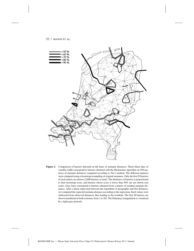

**Figure 3.** Comparison of barriers detected on the basis of surname distances: Thick black lines of variable width correspond to barriers obtained with the Monmonier algorithm on 100 matrices of surname distances computed according to Nei's method. The different matrices were computed using a bootstrap resampling of original surnames. Only the first 20 barriers of each matrix are shown (2,000 barriers in total). The thickness of barriers is proportional to their bootstrap score, and barriers whose score is lower than 50% are not shown (see scale). Gray lines correspond to barriers obtained from a matrix of residual surname distances. After a linear regression between the logarithms of geographic and Nei distances, we computed the expected surname distance according to the regression. Such values were subtracted from observed distances, thus leading to the residuals. The first 20 barriers are shown (numbered at both extremes from 1 to 20). The Delaunay triangulation is visualized by a light gray network.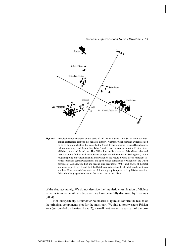

[53], (13) **Figure 4.** Principal components plot on the basis of 252 Dutch dialects. Low Saxon and Low Franconian dialects are grouped into separate clusters, whereas Frisian samples are represented by three different clusters that describe the (rural) Frisian, archaic Frisian (Hindeloopen, Schiermonnikoog, and Terschelling Island), and Friso-Franconian varieties (Frisian cities, Midsland, Ameland Island, and Het Bildt). Intermediate between Friso-Franconian and Low Saxon we find a small Friso-Saxon group (Westerkwartier and Stellingwerf). For a rough mapping of Franconian and Saxon varieties, see Figure 5. Gray circles represent varieties spoken in central Gelderland, and open circles correspond to varieties of the Dutch province of Zeeland. The first and second axes account for 40.8% and 36.7% of the total variance, respectively. Recall that the Dutch area is traditionally divided into Low Saxon and Low Franconian dialect varieties. A further group is represented by Frisian varieties; Frisian is a language distinct from Dutch and has its own dialects.

of the data accurately. We do not describe the linguistic classification of dialect varieties in more detail here because they have been fully discussed by Heeringa (2004).

Not unexpectedly, Monmonier boundaries (Figure 5) confirm the results of the principal components plot for the most part. We find a northwestern Frisian area (surrounded by barriers 1 and 2), a small northeastern area (part of the pro-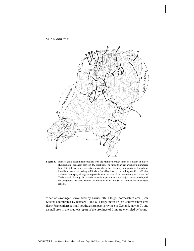

**Figure 5.** Barriers (bold black lines) obtained with the Monmonier algorithm on a matrix of dialect (Levenshtein) distances between 252 localities. The first 20 barriers are shown (numbered from 1 to 20). A light gray network visualizes the Delaunay triangulation. Boundaries identify areas corresponding to Friesland (local barriers corresponding to different Frisian varieties are displayed in gray to provide a clearer overall representation) and to parts of Zeeland and Limburg. On a wider scale it appears that some major barriers distinguish the geographic locations where Low Franconian and Low Saxon varieties are spoken (see labels).

vince of Groningen surrounded by barrier 20), a larger northeastern area (Low Saxon) adumbrated by barriers 1 and 8, a large more or less southwestern area (Low Franconian), a small southwestern part (province of Zeeland, barrier 9), and a small area in the southeast (part of the province of Limburg encircled by bound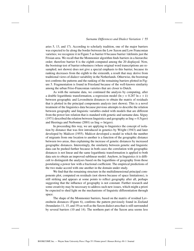aries 5, 13, and 17). According to scholarly tradition, one of the major barriers was expected to lie along the border between the Low Saxon and Low Franconian varieties; we recognize it in Figure 5 as barrier 8 because barrier 1delimits just the Frisian area. We recall that the Monmonier algorithm finds barriers in a hierarchic order; therefore barrier 8 is the eighth computed among the 20 displayed. Now, the bootstrap test of barrier robustness (where original word transcriptions are resampled; not shown) does not give a special emphasis to this barrier, because its ranking decreases from the eighth to the sixteenth, a result that may derive from traditional views of dialect variability in the Netherlands. Otherwise, the bootstrap test confirms the patterns and the ranking of the remaining barriers plotted in Figure 5. Fragmentation is found in Friesland because of the well-known similarity among the urban Friso-Franconian varieties that are closer to Dutch.

As with the surname data, we continued the analysis by computing, after a double logarithmic transformation, a regression model (ln  $y = 0.287 \ln x + k$ ) between geographic and Levenshtein distances to obtain the matrix of residuals that is plotted in the principal components analysis (not shown). This is a novel treatment of the linguistics data because previous attempts to describe the relation between geography and linguistic variables ended with models that are different from the power law relation that is standard with genetic and surname data. Séguy (1971) described the relation between linguistics and geography as  $\lim_{n \to \infty} = 0.5$ (geo) and Heeringa and Nerbonne (2001) as  $\lim g = \ln(\text{geo})$ .

In proceeding this way, we are applying to linguistics the concept of isolation by distance that was first introduced in genetics by Wright (1943) and later developed by Malécot (1955). Malécot developed a model in which the number of migrants from one location to another is a function of the geographic distance between two areas, thus explaining the increase of genetic distances by increased geographic distances. Interestingly, the similarity between genetic and linguistic data can be pushed further because in both cases the correlation with geographic distances is not linear and the same logarithmic transformation is applied to both data sets to obtain an improved sublinear model. Anyhow, in linguistics it is difficult to distinguish the analyses based on the logarithms of geography from those postulating a power law with a fractional coefficient. The empirical predictions of the two make accord with one another in the domain under study.

We find that the remaining structure in the multidimensional principal components plot, computed on residuals (not shown because of space limitations), is still striking and appears at some points to reflect geography after all, perhaps suggesting that the influence of geography is not constant. Further research and some creativity may be necessary to address such new issues, which might a priori be expected to shed light on the mechanisms of linguistic differentiation through space.

The shape of the Monmonier barriers, based on the matrix of residual Levenshtein distances (Figure 6), confirms the pattern previously found in Zeeland (boundaries 11, 15, and 19) as well as the Saxon dialect area that is still surrounded by several barriers (10 and 14). The northern part of the Saxon area seems less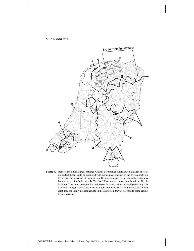

**Figure 6.** Barriers (bold black lines) obtained with the Monmonier algorithm on a matrix of residual dialect distances (to be compared with the identical analysis on the original matrix in Figure 5). The provinces of Friesland and Groningen appear as linguistically continuous, but see the text for further details. The first 20 barriers are shown (numbered 1 to 20). As in Figure 5, barriers corresponding to different Frisian varieties are displayed in gray. The Delaunay triangulation is visualized as a light gray network. As in Figure 5, the lines in light gray are simply not emphasized in the discussion; they correspond to some distinct Frisian varieties.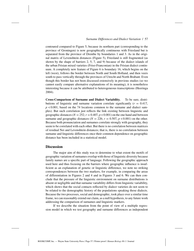contoured compared to Figure 5, because its northern part (corresponding to the province of Groningen) is now geographically continuous with Friesland but is separated from the province of Drenthe by boundaries 1 and 3. As in the original matrix of Levenshtein distances (Figure 5), Friesland is still fragmented (as shown by the shape of barriers 2, 5, 7, and 9) because of the dialect islands of the urban Frisian mixed varieties (Friso-Franconian) in the Frisian dialect continuum. A completely new feature of Figure 6 is boundary 16, which begins on the left (west), follows the border between North and South Holland, and then veers south to pass vertically through the provinces of Utrecht and North Brabant. Even though this border has not been discussed extensively in previous studies (so we cannot easily compare alternative explanations of its meaning), it is nonetheless interesting because it can be attributed to heterogeneous transcriptions (Heeringa 2004).

**Cross-Comparison of Surname and Dialect Variability.** To be sure, distributions of linguistic and surname variation correlate significantly  $(r = 0.417)$ , *p* < 0.001, based on the 74 locations common to the surname and dialect samples). But such correlation just reflects the link existing between linguistic and geographic distances ( $N = 252$ ;  $r = 0.407$ ,  $p < 0.001$ ) on the one hand and between surname and geographic distances ( $N = 226$ ;  $r = 0.507$ ,  $p < 0.001$ ) on the other. Because both pronunciation and surnames correlate strongly with geography, they seem to be correlated with each other. But there is no correlation between matrices of residual Nei and Levenshtein distances; that is, there is no correlation between surname and linguistic differences once their common dependence on geographic distance has been included in a statistical model.

## **Discussion**

The major aim of this study was to determine to what extent the motifs of geographic variation of surnames overlap with those of linguistic diversity because family names are a specific part of language. Following the geographic approach used here and thus focusing on the barriers where geographic influence is insufficient as an explanation of genetic or linguistic difference, we note no striking correspondences between the two markers, for example, in comparing the areas of differentiation in Figures 2 and 4 and in Figures 3 and 6. We can then conclude that the pressure of the linguistic environment on surname distributions is absent or negligible and that surname variability differs from linguistic variability, which shows that the social contacts reflected by dialect varieties do not seem to be related to the demographic history of the populations speaking those dialects. Because the two processes, social and demographic, took place over a similar time frame, we can reasonably extend our claim, as a null hypothesis, to any future work addressing the comparison of surnames and linguistic markers.

If we describe the situation from the point of view of a multiple regression model in which we test geography and surname differences as independent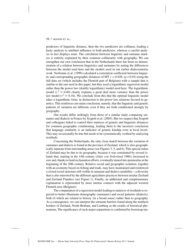predictors of linguistic distance, then the two predictors are collinear, leading a hasty analysis to attribute influence to both predictors, whereas a careful analysis in fact displays none. The correlation between linguistic and surname markers is entirely explained by their common collinearity with geography. We can strengthen our own conclusion that in the Netherlands there has been no demonstration of a relation between linguistics and surnames by noting the differences between the model used here and the models used in our earlier dialectometric work. Nerbonne et al. (1999) calculated a correlation coefficient between linguistic and corresponding geographic distances of MT  $r = 0.656$ ,  $(p < 0.01)$  using the full data set (which includes the Flemish part of Belgium) with a sample that is similar to the one used in this paper, but they used a logarithmic regression model rather than the power law (doubly logarithmic) model used here. The logarithmic model ( $r^2 \approx 0.40$ ) clearly explains a great deal more variance than the power law model ( $r^2 \approx 0.16$ ). We conclude from this that the optimal linguistic model takes a logarithmic form, in distinction to the power law relations favored in genetics. This reinforces our main conclusion, namely, that the linguistic and genetic patterns of variation are different, even if they are both conditioned strongly by geography.

Our results differ strikingly from those of a similar study comparing surnames and dialects in France by Scapoli et al. (2005). But we suspect that Scapoli and colleagues failed to control their matrices of genetic and linguistic distances for common geographic conditioning, leading them to the incorrect conclusion that language similarity is an indicator of genetic kinship even at local levels. This may occasionally be true but needs to be systematically verified by analyzing residuals.

Concerning the Netherlands, the only close match between the variation of surnames and dialects is found in the province of Zeeland, which is also geographically separate from surrounding areas (see Figures 3, 5, and 6). This special status of Zeeland may be due to its geography, because it was constituted by several islands that, starting in the 14th century (*Atlas van Nederland* 1986), increased in size and, thanks to land reclamation efforts, eventually turned into peninsulas at the beginning of the 20th century. Relative social and geographic isolation, together with an economy based on fishing and trade, may have maintained and reinforced a closed social structure still visible in surname and dialect variability—a diversity that is also mirrored by the different agriculture practices between insular Zeeland and Zeeland Flanders (see Figure 1). Finally, an additional and complementary explanation is represented by more intense contacts with the adjacent western Flemish area (Belgium).

The computation of a regression model leading to matrices of residuals is expected to better illuminate demography (surnames) and social patterns (dialects), both of which are related to history (in a broad sense) rather than to geography. As a consequence, we can interpret the surname barriers found along the northern borders of Zeeland, North Brabant, and Limburg as the results of historical phenomena. The significance of such major separations is confirmed by bootstrap ma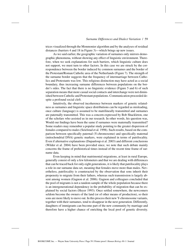trices visualized through the Monmonier algorithm and by the analyses of residual distances (barriers 4 and 18 in Figure 3)—which brings up new issues.

As we said earlier, the geographic variation of surnames only mirrors demographic phenomena, without showing any effect of linguistic environment. Therefore, when we seek explanations for such barriers, which linguistic culture does not support, we must turn to other factors. In this case we are struck by the correspondence between the border induced by common surnames and the border of the Protestant/Roman Catholic area of the Netherlands (Figure 7). The strength of the surname border suggests that the frequency of intermarriage between Catholics and Protestants was low. This religious distinction may have acted as a social boundary, thus increasing surname differences between populations on the border's sides. The fact that there is no linguistic evidence (Figure 5 and 6) of such separation means that more casual social contacts and interchange were not diminished between Catholic and Protestant populations. Communication proceeded despite a profound social cleft.

Intuitively, the observed incoherence between markers of genetic relatedness as surnames and linguistic space distributions can be regarded as misleading, once culture (language) is assumed to be matrilineally transmitted and surnames are paternally transmitted. This was a concern expressed by Bob Shackleton, one of the scholars who assisted us in our research. In other words, his question was, Would our findings have been the same if surnames were maternally transmitted? Some readers may remember a popular study pointing to the greater dispersion of females compared to males (Seielstad et al. 1998). Such results, based on the comparison between specifically paternal (Y-chromosome) and specifically maternal (mitochondrial DNA) genetic markers, were explained in terms of patrilocality. Even if alternative explanations (Dupanloup et al. 2003) and different conclusions (Wilder et al. 2004) have been provided since, we note that such debate mainly concerns the frame of prehistorical times instead of the recent time frame of surname data.

Even keeping in mind that matrimonial migrations, at least in rural Europe, generally consist of only a few kilometers and that we are dealing with differences that can be traced back for only eight generations, it is likely that patrilocality plays a role in our surname data set, meaning that females move more than males. Nevertheless, patrilocality is counteracted by the observation that sons inherit their propensity to migrate from their fathers, whereas such transmission is largely absent among women (Gagnon et al. 2006). Gagnon and colleagues concluded that the pool of migrants is not a random sample of the whole population because there is an intergenerational dependency in the probability of migration that can be explained by social factors (Heyer 1993). Once settled somewhere, the newcomers seldom become the owners of the land (or of other means of production), so their sons are more likely to move out. In this process their new Y-chromosome variants, together with their surnames, tend to disappear in the next generation. Differently, daughters of immigrants can become part of the new community by marriage and therefore have a higher chance of enriching the local pool of genetic diversity.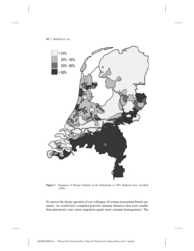

**Figure 7.** Frequency of Roman Catholics in the Netherlands in 1954. Redrawn from van Heek (1954).

To answer the thorny question of our colleague: If women transmitted Dutch surnames, we would have computed pairwise surname distances that were smaller than patronymic ones (more migration equals more surname homogeneity). The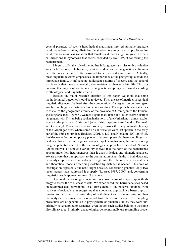general portrayal of such a hypothetical matrilineal-inferred surname structure would have been similar, albeit less detailed—more migrations imply lower local differences—unless we allow that females and males might migrate in different directions [a hypothesis that seems excluded by Kok (1997) concerning the Netherlands].

Linguistically, the role of the mother in language transmission is a valuable area for further research, because, in wider studies comparing genetic and linguistic differences, culture is often assumed to be maternally transmitted. Actually, most linguistic research emphasizes the importance of the peer group, outside the immediate family, in influencing adolescent patterns of speech, and the general suspicion is that these are normally then resistant to change in later life. This is a question that may be of special interest in genetic samplings performed according to ethnological and linguistic criteria.

Besides the major research question of this paper, we think that some methodological outcomes should be reviewed. First, the use of matrices of residual linguistic distances obtained after the computation of a regression between geographic and linguistic distances has been rewarding. The approach has enabled us to visualize the geographic affinity of the province of Groningen to the Frisianspeaking area (see Figure 6). We recall again that Frisian and Dutch are two distinct languages, with Frisian being spoken in the north of the Netherlands, almost exclusively in the province of Friesland (other Frisian speakers are found in Denmark and Germany). This closer relation probably mirrors the early linguistic history of the Groningen area, where some Frisian varieties were last spoken in the early part of the 16th century [see Hoekstra (2001, p. 139) and Niebaum (2001, p. 431)]. Besides some few contemporary phonetic features, presently there is no linguistic evidence that a different language was once spoken in this area, thus underscoring the great potential interest of the methodological approach we undertook. Spruit's (2006) analysis of syntactic variability showed that the north of the Netherlands appears much less heterogeneous than it does in lexical and phonetic analyses. We are aware that our approach to the computation of residuals, in both data sets, is mainly empirical and that a deeper insight into the relations between real data and theoretical models describing isolation by distance is needed. This area of investigation represents our next target because, concerning genetics, only two recent papers have addressed it properly (Rousset 1997, 2000) and, concerning linguistics, such approaches are still to come.

A second methodological outcome concerns the use of a bootstrap methodology to assess the robustness of data. We experienced that barrier analyses based on resampled data correspond, to a large extent, to the patterns obtained from matrices of residuals, thus suggesting that a bootstrap approach is a better approximation to the patterns of variability of both dialect and surname variation than the analysis of a single matrix obtained from the entire data set. If resampling procedures are of general use in phylogenetic or phenetic studies, they were surprisingly never applied to surnames, even though such studies belong to the same disciplinary area. Similarly, dialectologists do not normally use resampling proce-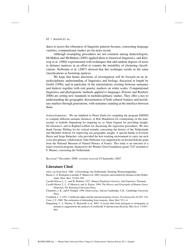dures to assess the robustness of linguistic patterns because, concerning language varieties, computational studies are far more recent.

Although resampling procedures are not common among dialectologists, McMahon and McMahon (2005) applied them to historical linguistics, and Kleiweg et al. (2004) experimented with techniques that add random degrees of noise to distance matrices in an effort to counter the instability of clustering classifications. Nerbonne et al. (2007) showed that this technique results in the same classifications as bootstrap analysis.

We hope that future directions of investigation will be focused on an interdisciplinary understanding of linguistics and biology, discussed at length by Goebl (1996), and in particular of the interrelations existing between surnames and dialects together with real genetic markers on wider scales. Computational linguistics and phylogenetic methods applied to languages (Forster and Renfrew 2006) are setting new standards in multidisciplinary studies. They offer a key to understanding the geographic dissemination of both cultural features and hereditary markers through generations, with surnames standing at the interface between them.

*Acknowledgments* We are indebted to Pierre Darlu for compiling the program DISNEI to compute different surname distances, to Bob Shackleton for commenting on the manuscript, to Isabelle Dupanloup for inspiring us, to Alain Gagnon for providing insightful references, and to Raphael Leblois for discussing the regression procedures. We also thank George Welling for his critical remarks concerning the history of the Netherlands and Meindert Schroor for improving our geographic insight. A special thanks to Evelyne Heyer and Serge Bahuchet, who provided the best working environment to carry out such cross-disciplinary collaboration. John Nerbonne was supported by an Invited Scholar grant from the National Museum of Natural History of France. This study is an outcome of a larger research program, financed by the Wenner Gren Foundation (grant 7247 awarded to F. Manni), concerning the Netherlands.

*Received 7 December 2006; revision received 19 September 2007.*

## **Literature Cited**

*Atlas van Nederland.* 1986. 's-Gravenhage, the Netherlands: Stichting Wetenschappelijke.

- Barrai, I., A. Rodriguez-Larralde, F. Manni et al. 2002. Isonymy and isolation by distance in the Netherlands. *Hum. Biol.* 74:263–283.
- Cavalli-Sforza, L. L., and W. Bodmer. 1971. *Human Population Genetics.* San Francisco: Freeman.
- Cavalli-Sforza, L. L., P. Menozzi, and A. Piazza. 1994. *The History and Geography of Human Genes.* Princeton, NJ: Princeton University Press.
- Chambers, J. K., and P. Trudgill. 1998. *Dialectology*, 2nd ed. Cambridge, U.K.: Cambridge University Press.

Cronbach, L. J. 1951. Coefficient alpha and the internal structure of tests. *Psychometrika* 16:297–334. Crow, J. F. 1980. The estimation of inbreeding from isonymy. *Hum. Biol.* 52:1–4.

Dupanloup, I., L. Pereira, G. Bertorelle et al. 2003. A recent shift from polygyny to monogamy in humans is suggested by the analysis of worldwide Y-chromosome diversity. *Mol. Ecol.* 13:853– 864.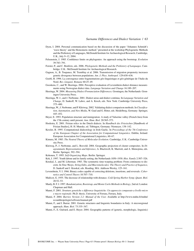- Dyen, I. 2004. Personal communication based on the discussion of the paper "Johannes Schmidt's 'wave theory' and the Homomeric method," presented at the workshop Phylogenetic Methods and the Prehistory of Languages, McDonald Institute for Archaeological Research, Cambridge, U.K., July 9–12, 2004.
- Felsenstein, J. 1985. Confidence limits on phylogenies: An approach using the bootstrap. *Evolution* 39:783–791.
- Forster, P., and C. Renfrew, eds. 2006. *Phylogenetic Methods and the Prehistory of Languages.* Cambridge, U.K.: McDonald Institute for Archaeological Research.
- Gagnon, A., B. Toupance, M. Tremblay et al. 2006. Transmission of migration propensity increases genetic divergence between populations. *Am. J. Phys. Anthropol.* 129:630–636.
- Goebl, H. 1996. La convergence entre fragmentations géo-linguistique et géo-génétique de l'Italie du Nord. *Rev. Linguist. Romane* 60:25–49.
- Gooskens, C., and W. Heeringa. 2004. Perceptive evaluation of Levenshtein dialect distance measurements using Norwegian dialect data. *Language Variation and Change* 16:189–207.
- Heeringa, W. 2004. *Measuring Dialect Pronunciation Differences.* Groningen, the Netherlands: Groningen University Press.
- Heeringa, W. J., and J. Nerbonne. 2001. Dialect areas and dialect continua. In *Language Variation and Change*, D. Sankoff, W. Labov, and A. Kroch, eds. New York: Cambridge University Press, 375–400.
- Heeringa, W., J. Nerbonne, and P. Kleiweg. 2002. Validating dialect comparison methods. In *Classification, Automation, and New Media*, W. Gaul and G. Ritter, eds. Heidelberg, Germany: Springer, 445–452.
- Heyer, E. 1993. Population structure and immigration: A study of Valserine valley (French Jura) from the 17th century until present. *Ann. Hum. Biol.* 20:565–573.
- Hoekstra, E. 2001. Frisian relics in the Dutch dialects. In *Handbuch des Friesischen* [Handbook of Frisian Studies], H. H. Munske, ed. Tübingen, Germany: Niemeyer, 138–142.
- Kessler, B. 1995. Computational dialectology in Irish Gaelic. In *Proceedings of the 7th Conference of the European Chapter of the Association for Computational Linguistics.* Dublin, Ireland: European Association for Computational Linguistics, 60–67.
- Kimura, M. 1983. *The Neutral Theory of Molecular Evolution.* Cambridge, U.K.: Cambridge University Press.
- Kleiweg, P., J. Nerbonne, and L. Bosveld. 2004. Geographic projection of cluster composites. In *Diagrammatic Representation and Inference*, A. Blackwell, K. Marriott, and A. Shimojima, eds. Berlin: Springer, 392–394.

Kohonen, T. 1995. *Self-Organizing Maps.* Berlin: Springer.

- Kok, J. 1997. Youth labour and its family setting, the Netherlands 1850–1930. *Hist. Family* 2:507–526.
- Kruskal, J., and M. Liberman. 1983. The symmetric time-warping problem: From continuous to discrete. In *Time Warps, String Edits, and Macromolecules: The Theory and Practice of Sequence*, D. Sankoff and J. Kruskal, eds. Reading, MA: Addison-Wesley, 125–161.
- Levenshtein, V. I. 1966. Binary codes capable of correcting deletions, insertions, and reversals. *Cybernetics and Control Theory* 10:707–710.
- Malécot, G. 1955. The decrease of relationship with distance. *Cold Spring Harbor Symp. Quant. Biol.* 20:52–53.
- Manly, B. F. J. 1997. *Randomization, Bootstrap, and Monte Carlo Methods in Biology*, 2nd ed. London: Chapman and Hall.
- Manni, F. 2001. *Strutture genetiche e differenze linguistiche: Un approccio comparato a livello micro e macro regionale.* Ph.D. thesis, University of Ferrara, Ferrara, Italy.
- Manni, F. 2004. *Barrier, Version 2.2: Manual of the User.* Available at http://www.mnhn.fr/mnhn/ ecoanthropologie/software/manual.pdf
- Manni, F., and I. Barrai. 2001. Genetic structures and linguistic boundaries in Italy: A microregional approach. *Hum. Biol.* 73:335–347.
- Manni, F., E. Guérard, and E. Heyer. 2004. Geographic patterns of (genetic, morphologic, linguistic)